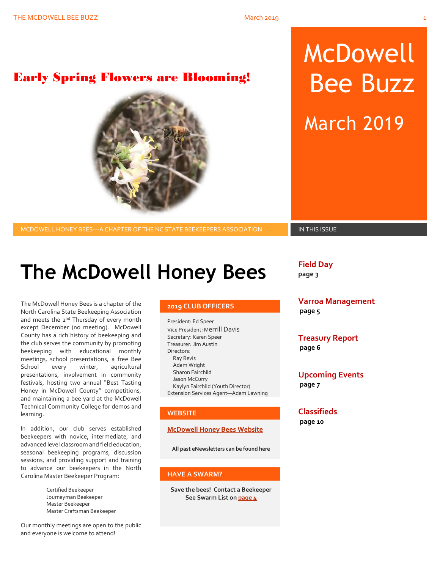## Early Spring Flowers are Blooming!



## MCDOWELL HONEY BEES---A CHAPTER OF THE NC STATE BEEKEEPERS ASSOCIATION **IN THIS ISSUE**

# McDowell Bee Buzz March 2019

# **The McDowell Honey Bees**

The McDowell Honey Bees is a chapter of the North Carolina State Beekeeping Association and meets the 2<sup>nd</sup> Thursday of every month except December (no meeting). McDowell County has a rich history of beekeeping and the club serves the community by promoting beekeeping with educational monthly meetings, school presentations, a free Bee School every winter, agricultural presentations, involvement in community festivals, hosting two annual "Best Tasting Honey in McDowell County" competitions, and maintaining a bee yard at the McDowell Technical Community College for demos and learning.

In addition, our club serves established beekeepers with novice, intermediate, and advanced level classroom and field education, seasonal beekeeping programs, discussion sessions, and providing support and training to advance our beekeepers in the North Carolina Master Beekeeper Program:

> Certified Beekeeper Journeyman Beekeeper Master Beekeeper Master Craftsman Beekeeper

Our monthly meetings are open to the public and everyone is welcome to attend!

## **2019 CLUB OFFICERS**

President: Ed Speer Vice President: Merrill Davis Secretary: Karen Speer Treasurer: Jim Austin Directors: Ray Revis Adam Wright Sharon Fairchild Jason McCurry Kaylyn Fairchild (Youth Director) Extension Services Agent—Adam Lawning

## **WEBSITE**

## **[McDowell Honey Bees Website](http://www.mcdowellhoneybees.org/)**

**All past eNewsletters can be found here**

## **HAVE A SWARM?**

**Save the bees! Contact a Beekeeper See Swarm List o[n page 4](#page-8-0)**

**Field Day**

**page 3**

**Varroa Management page 5**

**Treasury Report page 6**

**Upcoming Events page 7**

## **Classifieds**

**page 10**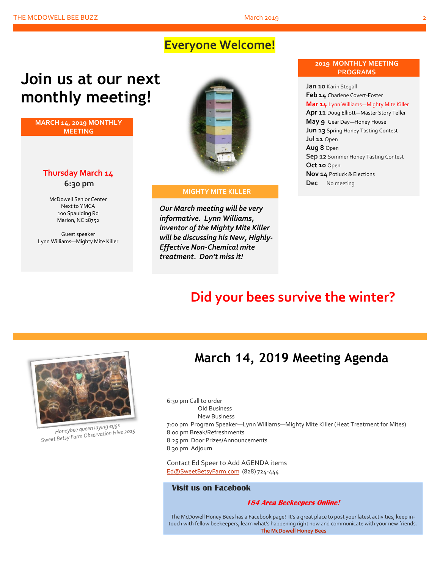## **Everyone Welcome!**

# **Join us at our next monthly meeting!**

**MARCH 14, 2019 MONTHLY MEETING**

## **Thursday March 14 6:30 pm**

McDowell Senior Center Next to YMCA 100 Spaulding Rd Marion, NC 28752

Guest speaker Lynn Williams—Mighty Mite Killer



### **MIGHTY MITE KILLER**

*Our March meeting will be very informative. Lynn Williams, inventor of the Mighty Mite Killer will be discussing his New, Highly-Effective Non-Chemical mite treatment. Don't miss it!*

## **2019 MONTHLY MEETING PROGRAMS**

**Jan 10** Karin Stegall **Feb 14** Charlene Covert-Foster **Mar 14** Lynn Williams—Mighty Mite Killer **Apr 11** Doug Elliott—Master Story Teller **May 9** Gear Day—Honey House **Jun 13** Spring Honey Tasting Contest **Jul 11** Open **Aug 8** Open **Sep 12** Summer Honey Tasting Contest **Oct 10** Open **Nov 14** Potluck & Elections **Dec** No meeting

## **Did your bees survive the winter?**



Honeybee queen laying eggs Honeybee queen laying eggs<br>Sweet Betsy Farm Observation Hive 2015

## **March 14, 2019 Meeting Agenda**

6:30 pm Call to order Old Business New Business 7:00 pm Program Speaker—Lynn Williams—Mighty Mite Killer (Heat Treatment for Mites) 8:00 pm Break/Refreshments 8:25 pm Door Prizes/Announcements 8:30 pm Adjourn

Contact Ed Speer to Add AGENDA items [Ed@SweetBetsyFarm.com](mailto:Ed@SweetBetsyFarm.com) (828) 724-444

## **Visit us on Facebook**

## **184 Area Beekeepers Online!**

The McDowell Honey Bees has a Facebook page! It's a great place to post your latest activities, keep intouch with fellow beekeepers, learn what's happening right now and communicate with your new friends. **[The McDowell Honey Bees](https://www.facebook.com/groups/MHBee/)**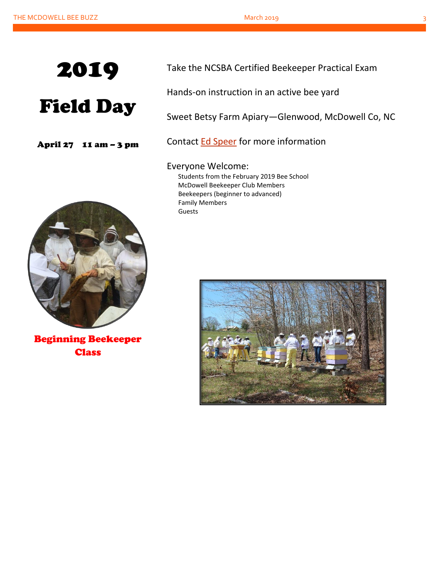

# Field Day

April 27 11 am – 3 pm



Hands-on instruction in an active bee yard

Sweet Betsy Farm Apiary—Glenwood, McDowell Co, NC

Contact [Ed Speer](mailto:Ed@SweetBetsyFarm.com) for more information

Everyone Welcome: Students from the February 2019 Bee School McDowell Beekeeper Club Members Beekeepers (beginner to advanced) Family Members Guests



Beginning Beekeeper **Class** 

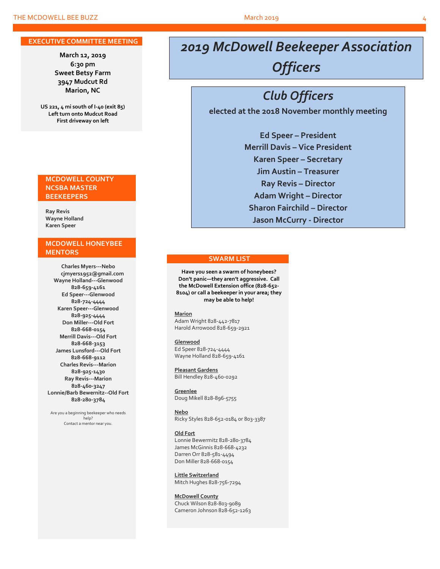### **EXECUTIVE COMMITTEE MEETING**

**March 12, 2019 6:30 pm Sweet Betsy Farm 3947 Mudcut Rd Marion, NC**

**US 221, 4 mi south of I-40 (exit 85) Left turn onto Mudcut Road First driveway on left**

## **MCDOWELL COUNTY NCSBA MASTER BEEKEEPERS**

**Ray Revis Wayne Holland Karen Speer**

## **MCDOWELL HONEYBEE MENTORS**

**Charles Myers---Nebo cjmyers1952@gmail.com Wayne Holland---Glenwood 828-659-4161 Ed Speer---Glenwood 828-724-4444 Karen Speer---Glenwood 828-925-4444 Don Miller---Old Fort 828-668-0154 Merrill Davis---Old Fort 828-668-3153 James Lunsford---Old Fort 828-668-9112 Charles Revis---Marion 828-925-1430 Ray Revis---Marion 828-460-3247 Lonnie/Barb Bewernitz--Old Fort 828-280-3784**

Are you a beginning beekeeper who needs help? Contact a mentor near you.

## *2019 McDowell Beekeeper Association Officers*

## *Club Officers*

**elected at the 2018 November monthly meeting**

**Ed Speer – President Merrill Davis – Vice President Karen Speer – Secretary Jim Austin – Treasurer Ray Revis – Director Adam Wright – Director Sharon Fairchild – Director Jason McCurry - Director**

## **SWARM LIST**

**Have you seen a swarm of honeybees? Don't panic—they aren't aggressive. Call the McDowell Extension office (828-652- 8104) or call a beekeeper in your area; they may be able to help!**

**Marion** Adam Wright 828-442-7817 Harold Arrowood 828-659-2921

**Glenwood** Ed Speer 828-724-4444 Wayne Holland 828-659-4161

**Pleasant Gardens** Bill Hendley 828-460-0292

**Greenlee** Doug Mikell 828-896-5755

**Nebo** Ricky Styles 828-652-0184 or 803-3387

#### **Old Fort**

Lonnie Bewermitz 828-280-3784 James McGinnis 828-668-4232 Darren Orr 828-581-4494 Don Miller 828-668-0154

**Little Switzerland** Mitch Hughes 828-756-7294

**McDowell County** Chuck Wilson 828-803-9089 Cameron Johnson 828-652-1263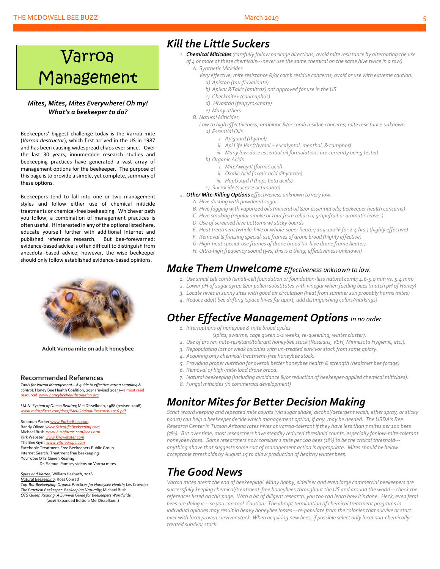# Varroa Management

## *Mites, Mites, Mites Everywhere! Oh my! What's a beekeeper to do?*

Beekeepers' biggest challenge today is the Varroa mite (*Varroa destructor*), which first arrived in the US in 1987 and has been causing widespread chaos ever since. Over the last 30 years, innumerable research studies and beekeeping practices have generated a vast array of management options for the beekeeper. The purpose of this page is to provide a simple, yet complete, summary of these options.

Beekeepers tend to fall into one or two management styles and follow either use of chemical miticide treatments or chemical-free beekeeping. Whichever path you follow, a combination of management practices is often useful. If interested in any of the options listed here, educate yourself further with additional Internet and published reference research. But bee-forewarned: evidence-based advice is often difficult to distinguish from anecdotal-based advice; however, the wise beekeeper should only follow established evidence-based opinions.



**Adult Varroa mite on adult honeybee**

### **Recommended References**

*Tools for Varroa Management—A guide to effective varroa sampling & control*; Honey Bee Health Coalition, 2015 (revised 2015)—a must read resource! *[www.honeybeehealthcoalition.org](http://www.honeybeehealthcoalition.org/)*

*I.M.N. System of Queen Rearing*; Mel Disselkoen, 1988 (revised 2008) *[www.mdasplitter.com/docs/IMN-Original-Research-2016.pdf](http://www.mdasplitter.com/docs/IMN-Original-Research-2016.pdf)*

Solomon Parker *[www.ParkerBees.com](http://www.parkerbees.com/)* Randy Oliver *[www.ScientificBeekeeping.com](http://www.scientificbeekeeping.com/)*  Michael Bush *[www.bushfarms.com/bees.htm](http://www.bushfarms.com/bees.htm)* Kirk Webster *[www.kirkwebster.com](http://www.kirkwebster.com/)* The Bee Gym *[www.vita-europe.com](http://www.vita-europe.com/)* Facebook: Treatment-Free Beekeepers Public Group Internet Search: Treatment free beekeeping YouTube: OTS Queen Rearing Dr. Samuel Ramsey videos on Varroa mites

*Splits and Varroa*; William Hesbach, 2016 *Natural Beekeeping*; Ross Conrad *Top-Bar Beekeeping: Organic Practices for Honeybee Health*; Les Crowder *The Practical Beekeeper: Beekeeping Naturally*; Michael Bush *OTS Queen Rearing: A Survival Guide for Beekeepers Worldwide* (2016 Expanded Edition; Mel Disselkoen)

## *Kill the Little Suckers*

- *1. Chemical Miticides (carefully follow package directions; avoid mite resistance by alternating the use of 4 or more of these chemicals---never use the same chemical on the same hive twice in a row)*
	- *A. Synthetic Miticides*
	- *Very effective; mite resistance &/or comb residue concerns; avoid or use with extreme caution. a) Apistan (tau-fluvalinate)*
		- *b) Apivar &Takic (amitraz) not approved for use in the US*
		- *c) Checkmite+ (coumaphos)*
		- *d) Hivastan (fenpyroximate)*
		- *e) Many others*
	- *B. Natural Miticides*

*Low to high effectiveness; antibiotic &/or comb residue concerns; mite resistance unknown. a) Essential Oils*

- *i. Apiguard (thymol)*
- *ii. Api Life Var (thymol + eucalyptol, menthol, & camphor)*
- *iii. Many low-dose essential oil formulations are currently being tested*
- *b) Organic Acids*
	- *i. MiteAway II (formic acid)*
	- *ii. Oxalic Acid (oxalic acid dihydrate)*
	- *iii. HopGuard II (hops beta acids)*
- *c) Sucrocide (sucrose octanoate)*
- *2. Other Mite-Killing Options Effectiveness unknown to very low.*
	- *A. Hive dusting with powdered sugar*
	- *B. Hive fogging with vaporized oils (mineral oil &/or essential oils; beekeeper health concerns)*
	- *C. Hive smoking (regular smoke or that from tobacco, grapefruit or aromatic leaves)*
	- *D. Use of screened hive bottoms w/ sticky boards*
	- *E. Heat treatment (whole-hive or whole-super heater; 104-110<sup>O</sup>F for 2-4 hrs.) (highly effective)*
	- *F. Removal & freezing special-use frames of drone brood (highly effective)*
	- *G. High-heat special-use frames of drone brood (in-hive drone frame heater)*
	- *H. Ultra-high frequency sound (yes, this is a thing; effectiveness unknown)*

## *Make Them Unwelcome Effectiveness unknown to low.*

- *1. Use small cell comb (small-cell foundation or foundation-less natural comb; 4.6-5.0 mm vs. 5.4 mm)*
- *2. Lower pH of sugarsyrup &/or pollen substitutes with vinegar when feeding bees (match pH of Honey)*
- *3. Locate hives in sunny sites with good air circulation (heat from summer sun probably harms mites)*
- *4. Reduce adult bee drifting (space hivesfar apart, add distinguishing colors/markings)*

## *Other Effective Management Options In no order.*

- *1. Interruptions of honeybee & mite brood cycles*
	- *(splits, swarms, cage queen 1-2 weeks, re-queening, winter cluster).*
- *2. Use of proven mite-resistant/tolerant honeybee stock (Russians, VSH, Minnesota Hygienic, etc.).*
- *3. Repopulating lost or weak colonies with un-treated survivor stock from same apiary.*
- *4. Acquiring only chemical-treatment-free honeybee stock.*
- *5. Providing proper nutrition for overall better honeybee health & strength (healthier bee forage).*
- *6. Removal of high-mite-load drone brood.*
- *7. Natural beekeeping (Including avoidance &/or reduction of beekeeper-applied chemical miticides).*
- *8. Fungal miticides (in commercial development)*

## *Monitor Mites for Better Decision Making*

*Strict record keeping and repeated mite counts (via sugar shake, alcohol/detergent wash, ether spray, or sticky board) can help a beekeeper decide which management option, if any, may be needed. The USDA's Bee Research Center in Tucson Arizona rates hives as varroa-tolerant if they have less than 7 mites per 100 bees (7%). But over time, most researchers have steadily reduced threshold counts, especially for low-mite-tolerant honeybee races. Some researchers now consider 1 mite per 100 bees (1%) to be the critical threshold-- anything above that suggestssome sort of management action is appropriate. Mites should be below acceptable thresholds by August 15 to allow production of healthy winter bees.*

## *The Good News*

*Varroa mites aren't the end of beekeeping! Many hobby, sideliner and even large commercial beekeepers are successfully keeping chemical/treatment-free honeybees throughout the US and around the world---check the references listed on this page. With a bit of diligent research, you too can learn how it's done. Heck, even feral bees are doing it---so you can too! Caution: The abrupt termination of chemical treatment programs in individual apiaries may result in heavy honeybee losses---re-populate from the colonies that survive or start over with local proven survivor stock. When acquiring new bees, if possible select only local non-chemicallytreated survivor stock.*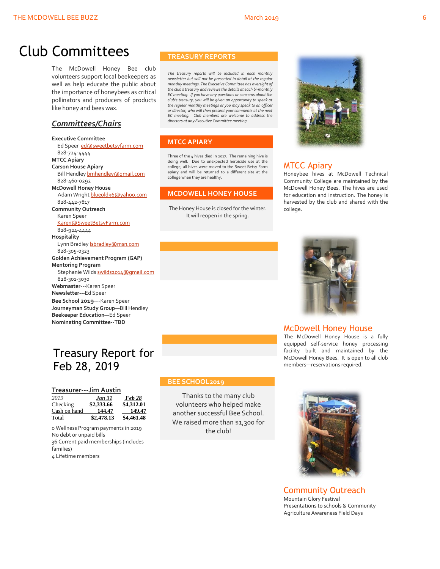## Club Committees

The McDowell Honey Bee club volunteers support local beekeepers as well as help educate the public about the importance of honeybees as critical pollinators and producers of products like honey and bees wax.

## *Committees/Chairs*

**Executive Committee** Ed Speer [ed@sweetbetsyfarm.com](mailto:ed@sweetbetsyfarm.com) 828-724-4444 **MTCC Apiary Carson House Apiary** Bill Hendle[y bmhendley@gmail.com](mailto:bmhendley@gmail.com) 828-460-0292 **McDowell Honey House** Adam Wright [blueold96@yahoo.com](mailto:blueold96@yahoo.com) 828-442-7817 **Community Outreach** Karen Speer [Karen@SweetBetsyFarm.com](mailto:Karen@SweetBetsyFarm.com) 828-924-4444 **Hospitality** Lynn Bradley **Isbradley@msn.com**  828-305-0323 **Golden Achievement Program (GAP) Mentoring Program** Stephanie Wild[s swilds2014@gmail.com](mailto:swilds2014@gmail.com) 828-301-3030 **Webmaster**---Karen Speer **Newsletter---**Ed Speer **Bee School 2019**---Karen Speer **Journeyman Study Group**—Bill Hendley **Beekeeper Education**—Ed Speer **Nominating Committee--TBD**

## Treasury Report for Feb 28, 2019

|  |  | Treasurer---Jim Austin |  |  |  |  |  |  |
|--|--|------------------------|--|--|--|--|--|--|
|  |  |                        |  |  |  |  |  |  |

| 2019         | <b>Jan 31</b> | Feb 28     |
|--------------|---------------|------------|
| Checking     | \$2,333.66    | \$4,312.01 |
| Cash on hand | 144.47        | 149.47     |
| Total        | \$2,478.13    | \$4,461.48 |

0 Wellness Program payments in 2019 No debt or unpaid bills 36 Current paid memberships (includes families) 4 Lifetime members

## **TREASURY REPORTS**

*The treasury reports will be included in each monthly newsletter but will not be presented in detail at the regular monthly meetings. The Executive Committee has oversight of the club's treasury and reviews the details at each bi-monthly EC meeting. If you have any questions or concerns about the club's treasury, you will be given an opportunity to speak at the regular monthly meetings or you may speak to an officer or director, who will then present your comments at the next EC meeting. Club members are welcome to address the directors at any Executive Committee meeting.*

## **MTCC APIARY**

Three of the 4 hives died in 2017. The remaining hive is doing well. Due to unexpected herbicide use at the college, all hives were moved to the Sweet Betsy Farm apiary and will be returned to a different site at the college when they are healthy.

## **MCDOWELL HONEY HOUSE**

The Honey House is closed for the winter. It will reopen in the spring.



## MTCC Apiary

Honeybee hives at McDowell Technical Community College are maintained by the McDowell Honey Bees. The hives are used for education and instruction. The honey is harvested by the club and shared with the college.



## McDowell Honey House

The McDowell Honey House is a fully equipped self-service honey processing facility built and maintained by the McDowell Honey Bees. It is open to all club members—reservations required.

## **BEE SCHOOL2019**

Thanks to the many club volunteers who helped make another successful Bee School. We raised more than \$1,300 for the club!



Community Outreach Mountain Glory Festival Presentations to schools & Community Agriculture Awareness Field Days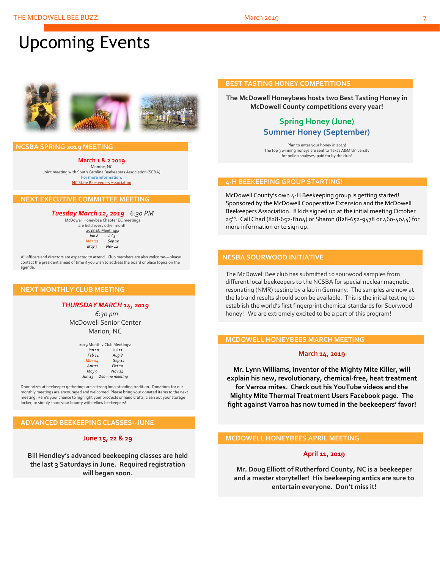# Upcoming Events



## **NCSBA SPRING 2019 MEETING**

**March 1 & 2 2019** Monroe, NC Joint meeting with South Carolina Beekeepers Association (SCBA) **For more information:** [NC State Beekeepers Association](http://www.ncbeekeepers.org/)

## **NEXT EXECUTIVE COMMITTEE MEETING**

*Tuesday March 12, 2019 6:30 PM* McDowell Honeybee Chapter EC meetings

are held every other month 2018 EC Meetings: *Jan 8 Jul 9 Mar 12 Sep 10 May 7 Nov 12*

All officers and directors are expected to attend. Club members are also welcome---please contact the president ahead of time if you wish to address the board or place topics on the agenda.

## **NEXT MONTHLY CLUB MEETING**

## *THURSDAY MARCH 14, 2019*

 *6:30 pm* McDowell Senior Center Marion, NC

|                   | 2019 Monthly Club Meetings: |
|-------------------|-----------------------------|
| Jan 10            | <b>Jul 11</b>               |
| Feb 14            | Aug 8                       |
| Mar 14            | Sep 12                      |
| Apr <sub>11</sub> | $Oct$ <sub>10</sub>         |
| May 9             | <b>Nov 14</b>               |
| Jun 13            | Dec-no meeting              |

Door prizes at beekeeper gatherings are a strong long-standing tradition. Donations for our monthly meetings are encouraged and welcomed. Please bring your donated items to the next meeting. Here's your chance to highlight your products or handicrafts, clean out your storage locker, or simply share your bounty with fellow beekeepers!

## **ADVANCED BEEKEEPING CLASSES--JUNE**

## **June 15, 22 & 29**

**Bill Hendley's advanced beekeeping classes are held the last 3 Saturdays in June. Required registration will began soon.**

## **BEST TASTING HONEY COMPETITIONS**

**The McDowell Honeybees hosts two Best Tasting Honey in McDowell County competitions every year!**

## **Spring Honey (June) Summer Honey (September)**

Plan to enter your honey in 2019! The top 3 winning honeys are sent to Texas A&M University for pollen analyses, paid for by the club!

## **4-H BEEKEEPING GROUP STARTING!**

McDowell County's own 4-H Beekeeping group is getting started! Sponsored by the McDowell Cooperative Extension and the McDowell Beekeepers Association. 8 kids signed up at the initial meeting October 25th. Call Chad (828-652-8104) or Sharon (828-652-9478 or 460-4044) for more information or to sign up.

## **NCSBA SOURWOOD INITIATIVE**

The McDowell Bee club has submitted 10 sourwood samples from different local beekeepers to the NCSBA for special nuclear magnetic resonating (NMR) testing by a lab in Germany. The samples are now at the lab and results should soon be available. This is the initial testing to establish the world's first fingerprint chemical standards for Sourwood honey! We are extremely excited to be a part of this program!

## **MCDOWELL HONEYBEES MARCH MEETING**

#### **March 14, 2019**

**Mr. Lynn Williams, Inventor of the Mighty Mite Killer, will explain his new, revolutionary, chemical-free, heat treatment for Varroa mites. Check out his YouTube videos and the Mighty Mite Thermal Treatment Users Facebook page. The fight against Varroa has now turned in the beekeepers' favor!**

## **MCDOWELL HONEYBEES APRIL MEETING**

## **April 11, 2019**

**Mr. Doug Elliott of Rutherford County, NC is a beekeeper and a master storyteller! His beekeeping antics are sure to entertain everyone. Don't miss it!**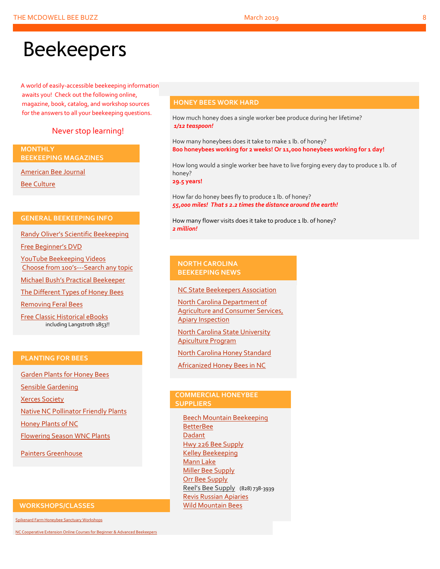# Beekeepers

A world of easily-accessible beekeeping information awaits you! Check out the following online, magazine, book, catalog, and workshop sources for the answers to all your beekeeping questions.

## Never stop learning!

**MONTHLY BEEKEEPING MAGAZINES**

[American Bee Journal](http://www.americanbeejournal.com/)

[Bee Culture](http://www.beeculture.com/)

## **GENERAL BEEKEEPING INFO**

Randy Oliver's [Scientific Beekeeping](http://scientificbeekeeping.com/)

[Free Beginner's DVD](http://www.worldofbeekeeping.com/free-kit/)

[YouTube Beekeeping Videos](https://www.youtube.com/results?search_query=beekeeping) Choose from 100's[---Search any topic](https://www.youtube.com/results?search_query=beekeeping)

[Michael Bush's Practical Beekeeper](http://www.bushfarms.com/bees.htm)

[The Different Types of Honey Bees](https://www.cals.ncsu.edu/entomology/apiculture/pdfs/1.12%20copy.pdf)

[Removing Feral Bees](http://www.ces.ncsu.edu/depts/ent/notes/Urban/bees-faq.htm)

[Free Classic Historical eBooks](http://www.apiculture-populaire.com/) including Langstroth 1853!!

## **PLANTING FOR BEES**

[Garden Plants for Honey Bees](http://www.wicwas.com/Garden_Plants_for_Honey_Bees) [Sensible Gardening](http://sensiblegardening.com/busy-busy-bees/) [Xerces Society](http://www.xerces.org/pollinator-conservation/gardens/) [Native NC Pollinator Friendly Plants](http://wncbees.org/wp-content/uploads/2014/07/Recommended-Polliinator-Friendly-Plant-List-for-Greater-Asheville-NC-with-Nurseries.pdf) [Honey Plants of NC](http://wncbees.org/wp-content/uploads/2014/08/Honey-Plants-of-North-Carolina-NCSU-1.04.pdf) [Flowering Season WNC Plants](http://wncbees.org/wp-content/uploads/2014/07/Typical-Flowering-Seasons-for-Western-North-Carolina-Honey-and-Pollen-Sources-Edd-Buchanan-John-Mundy-Chris-Mathis.pdf) [Painters Greenhouse](http://www.paintersgreenhouse.com/)

## **WORKSHOPS/CLASSES**

[Spikenard Farm Honeybee Sanctuary Workshops](http://spikenardfarm.org/)

[NC Cooperative Extension Online Courses for Beginner &](https://entomology.ces.ncsu.edu/apiculture/bees/) Advanced Beekeepers

## **HONEY BEES WORK HARD**

How much honey does a single worker bee produce during her lifetime? *1/12 teaspoon!*

How many honeybees does it take to make 1 lb. of honey? **800 honeybees working for 2 weeks! Or 11,000 honeybees working for 1 day!**

How long would a single worker bee have to live forging every day to produce 1 lb. of honey?

**29.5 years!**

How far do honey bees fly to produce 1 lb. of honey? *55,000 miles! That s 2.2 times the distance around the earth!*

How many flower visits does it take to produce 1 lb. of honey? *2 million!*

## **NORTH CAROLINA BEEKEEPING NEWS**

[NC State Beekeepers Association](http://www.ncbeekeepers.org/)

[North Carolina Department of](http://www.ncbeekeepers.org/resources/apiary-inspection-program)  [Agriculture and Consumer Services,](http://www.ncbeekeepers.org/resources/apiary-inspection-program)  [Apiary Inspection](http://www.ncbeekeepers.org/resources/apiary-inspection-program)

[North Carolina State University](http://entomology.ncsu.edu/apiculture)  [Apiculture Program](http://entomology.ncsu.edu/apiculture)

[North Carolina Honey Standard](http://www.ncbeekeepers.org/honey/nc-honey-standard)

[Africanized Honey Bees in NC](http://wncbees.org/wp-content/uploads/2014/08/AHBs-Some-questions-and-answers-NCSU-1.03.pdf)

## **COMMERCIAL HONEYBEE SUPPLIERS**

[Beech Mountain Beekeeping](http://beechmountainbeesupply.com/store/cart.php) **[BetterBee](http://www.betterbee.com/) [Dadant](https://www.dadant.com/)** [Hwy 226 Bee Supply](http://hwy226beesupplies.com/) [Kelley Beekeeping](https://www.kelleybees.com/) [Mann Lake](http://www.mannlakeltd.com/) [Miller Bee Supply](http://millerbeesupply.com/catalog/) [Orr Bee Supply](http://www.orrbeesupply.com/) Reel's Bee Supply (828) 738-3939 [Revis Russian Apiaries](http://revisrussians.com/) [Wild Mountain Bees](http://www.wildmountainbees.com/)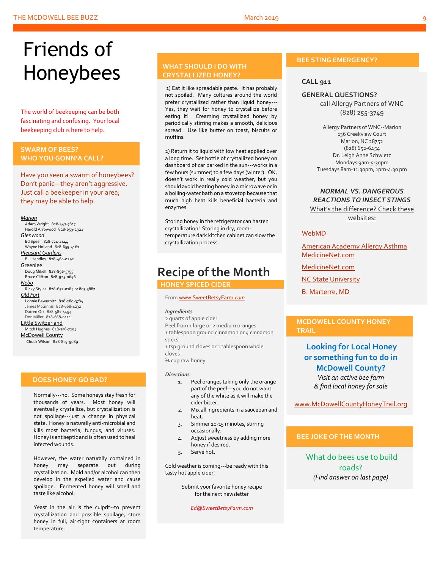# Friends of Honeybees

The world of beekeeping can be both fascinating and confusing. Your local beekeeping club is here to help.

## <span id="page-8-0"></span>**SWARM OF BEES? WHO YOU GONN'A CALL?**

Have you seen a swarm of honeybees? Don't panic—they aren't aggressive. Just call a beekeeper in your area; they may be able to help.

#### *Marion*

 Adam Wright 828-442-7817 Harold Arrowood 828-659-2921 *Glenwood* Ed Speer 828-724-4444 Wayne Holland 828-659-4161 *Pleasant Gardens* Bill Hendley 828-460-0292 **Greenlee**  Doug Mikell 828-896-5755 Bruce Clifton 828-925-0646 *Nebo* Ricky Styles 828-652-0184 or 803-3887 *Old Fort* Lonnie Bewernitz 828-280-3784 James McGinnis 828-668-4232 Darren Orr 828-581-4494 Don Miller 828-668-0154 Little Switzerland Mitch Hughes 828-756-7294 McDowell County Chuck Wilson 828-803-9089

## **DOES HONEY GO BAD?**

Normally---no. Some honeys stay fresh for thousands of years. Most honey will eventually crystallize, but crystallization is not spoilage---just a change in physical state. Honey is naturally anti-microbial and kills most bacteria, fungus, and viruses. Honey is antiseptic and is often used to heal infected wounds.

However, the water naturally contained in honey may separate out during crystallization. Mold and/or alcohol can then develop in the expelled water and cause spoilage. Fermented honey will smell and taste like alcohol.

Yeast in the air is the culprit--to prevent crystallization and possible spoilage, store honey in full, air-tight containers at room temperature.

## **WHAT SHOULD I DO WITH CRYSTALLIZED HONEY?**

1) Eat it like spreadable paste. It has probably not spoiled. Many cultures around the world prefer crystallized rather than liquid honey--- Yes, they wait for honey to crystallize before eating it! Creaming crystallized honey by periodically stirring makes a smooth, delicious spread. Use like butter on toast, biscuits or muffins.

2) Return it to liquid with low heat applied over a long time. Set bottle of crystallized honey on dashboard of car parked in the sun---works in a few hours (summer) to a few days (winter). OK, doesn't work in really cold weather, but you should avoid heating honey in a microwave or in a boiling-water bath on a stovetop because that much high heat kills beneficial bacteria and enzymes.

Storing honey in the refrigerator can hasten crystallization! Storing in dry, roomtemperature dark kitchen cabinet can slow the crystallization process.

## **Recipe of the Month**

 **HONEY SPICED CIDER**

#### Fro[m www.SweetBetsyFarm.](http://www.sweetbetsyfarm.com/)*com*

#### *Ingredients*

2 quarts of apple cider Peel from 1 large or 2 medium oranges 1 tablespoon ground cinnamon or 4 cinnamon sticks

1 tsp ground cloves or 1 tablespoon whole cloves

¼ cup raw honey

#### *Directions*

- 1. Peel oranges taking only the orange part of the peel---you do not want any of the white as it will make the cider bitter.
- 2. Mix all ingredients in a saucepan and heat.
- 3. Simmer 10-15 minutes, stirring occasionally.
- 4. Adjust sweetness by adding more honey if desired.
- 5. Serve hot.

Cold weather is coming---be ready with this tasty hot apple cider!

> Submit your favorite honey recipe for the next newsletter

> > *Ed@SweetBetsyFarm.com*

## **BEE STING EMERGENCY?**

## **CALL 911**

## **GENERAL QUESTIONS?**

call Allergy Partners of WNC (828) 255-3749

Allergy Partners of WNC--Marion 136 Creekview Court Marion, NC 28752 (828) 652-6454 Dr. Leigh Anne Schwietz Mondays 9am-5:30pm Tuesdays 8am-11:30pm, 1pm-4:30 pm

## *NORMAL VS. DANGEROUS REACTIONS TO INSECT STINGS* What's the difference? Check these websites:

### [WebMD](http://www.webmd.com/allergies/guide/insect-stings)

[American Academy Allergy Asthma](http://www.aaaai.org/conditions-and-treatments/library/allergy-library/stinging-insect-allergy.aspx) [MedicineNet.com](http://www.medicinenet.com/insect_sting_allergies/article.htm)

[MedicineNet.com](http://www.medicinenet.com/insect_sting_allergies/article.htm)

**[NC State University](http://wncbees.org/wp-content/uploads/2014/08/Allergy-to-Insect-Stings-NCSU-1.09.pdf)** 

[B. Marterre, MD](http://wncbees.org/wp-content/uploads/2014/08/Bee-Stings-Immunology-Allergy-and-Treatment-Marterre.pdf)

## **MCDOWELL COUNTY HONEY TRAIL**

## **Looking for Local Honey or something fun to do in McDowell County?**

*Visit an active bee farm & find local honey for sale*

[www.McDowellCountyHoneyTrail.org](http://www.mcdowellcountyhoneytrail.org/)

## **BEE JOKE OF THE MONTH**

What do bees use to build roads? *(Find answer on last page)*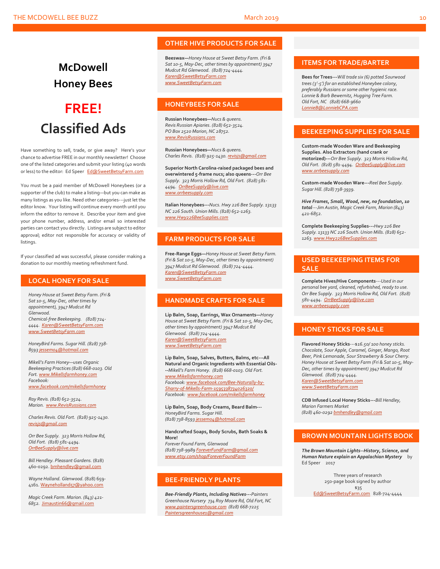## **McDowell Honey Bees FREE! Classified Ads**

Have something to sell, trade, or give away? Here's your chance to advertise FREE in our monthly newsletter! Choose one of the listed categories and submit your listing (40 words or less) to the editor: Ed Speer [Ed@SweetBetsyFarm.com](mailto:Ed@SweetBetsyFarm.com)

You must be a paid member of McDowell Honeybees (or a supporter of the club) to make a listing—but you can make as many listings as you like. Need other categories---just let the editor know. Your listing will continue every month until you inform the editor to remove it. Describe your item and give your phone number, address, and/or email so interested parties can contact you directly. Listings are subject to editor approval; editor not responsible for accuracy or validity of listings.

If your classified ad was successful, please consider making a donation to our monthly meeting refreshment fund.

### **LOCAL HONEY FOR SALE**

*Honey House at Sweet Betsy Farm. (Fri & Sat 10-5, May-Dec, other times by appointment), 3947 Mudcut Rd Glenwood. Chemical-free Beekeeping. (828) 724- 4444. [Karen@SweetBetsyFarm.com](mailto:Karen@SweetBetsyFarm.com) www.SweetBetsyFarm.com*

*HoneyBird Farms. Sugar Hill. (828) 738- 859[3 jessem04@hotmail.com](mailto:jessem04@hotmail.com)*

*Mikell's Farm Honey—uses Organic Beekeeping Practices (828) 668-0103. Old Fort[. www.Mikellsfarmhoney.com](http://www.mikellsfarmhoney.com/) Facebook: [www.facebook.com/mikellsfarmhoney](http://www.facebook.com/mikellsfarmhoney)*

*Ray Revis. (828) 652-3524. Marion. [www.RevisRussians.com](http://www.revisrussians.com/)*

*Charles Revis. Old Fort. (828) 925-1430. [revisjs@gmail.com](mailto:revisjs@gmail.com)*

*Orr Bee Supply. 323 Morris Hollow Rd, Old Fort. (828) 581-4494. [OrrBeeSupply@live.com](mailto:OrrBeeSupply@live.com)*

*Bill Hendley. Pleasant Gardens.* (828) 460-0292[. bmhendley@gmail.com](mailto:bmhendley@gmail.com)

*Wayne Holland. Glenwood.* (828) 659- 4161[. Wayneholland57@yahoo.com](mailto:Wayneholland57@yahoo.com)

*Magic Creek Farm. Marion. (843) 421- 6852.* [Jimaustin66@gmail.com](mailto:Jimaustin66@gmail.com)

## **OTHER HIVE PRODUCTS FOR SALE**

**Beeswax—***Honey House at Sweet Betsy Farm. (Fri & Sat 10-5, May-Dec, other times by appointment) 3947 Mudcut Rd Glenwood. (828) 724-4444. [Karen@SweetBetsyFarm.com](mailto:Karen@SweetBetsyFarm.com) www.SweetBetsyFarm.com*

## **HONEYBEES FOR SALE**

**Russian Honeybees—***Nucs & queens. Revis Russian Apiaries. (828) 652-3524. PO Box 2520 Marion, NC 28752. [www.RevisRussians.com](http://www.revisrussians.com/)*

**Russian Honeybees—***Nucs & queens. Charles Revis. (828) 925-1430. [revisjs@gmail.com](mailto:revisjs@gmail.com)*

**Superior North Carolina-raised packaged bees and overwintered 5-frame nucs; also queens---***Orr Bee Supply. 323 Morris Hollow Rd, Old Fort. (828) 581- 4494. [OrrBeeSupply@live.com](mailto:OrrBeeSupply@live.com) www.orrbeesupply.com*

**Italian Honeybees---***Nucs. Hwy 226 Bee Supply. 13133 NC 226 South. Union Mills. (828) 652-1263. [www.Hwy226BeeSupplies.com](http://www.hwy226beesupplies.com/)*

### **FARM PRODUCTS FOR SALE**

**Free-Range Eggs—***Honey House at Sweet Betsy Farm. (Fri & Sat 10-5, May-Dec, other times by appointment) 3947 Mudcut Rd Glenwood. (828) 724-4444. [Karen@SweetBetsyFarm.com](mailto:Karen@SweetBetsyFarm.com) www.SweetBetsyFarm.com*

## **HANDMADE CRAFTS FOR SALE**

**Lip Balm, Soap, Earrings, Wax Ornaments—***Honey House at Sweet Betsy Farm. (Fri & Sat 10-5, May-Dec, other times by appointment) 3947 Mudcut Rd Glenwood. (828) 724-4444. [Karen@SweetBetsyFarm.com](mailto:Karen@SweetBetsyFarm.com) [www.SweetBetsyFarm.com](http://www.sweetbetsyfarm.com/)*

**Lip Balm, Soap, Salves, Butters, Balms, etc---All Natural and Organic Ingredients with Essential Oils- --***Mikell's Farm Honey. (828) 668-0103. Old Fort. [www.Mikellsfarmhoney.com](http://www.mikellsfarmhoney.com/) Facebook[: www.facebook.com/Bee-Naturally-by-](http://www.facebook.com/Bee-Naturally-by-Sharry-of-Mikells-Farm-1595338734026320/)[Sharry-of-Mikells-Farm-1595338734026320/](http://www.facebook.com/Bee-Naturally-by-Sharry-of-Mikells-Farm-1595338734026320/) Facebook: [www.facebook.com/mikellsfarmhoney](http://www.facebook.com/mikellsfarmhoney)*

**Lip Balm, Soap, Body Creams, Beard Balm---** *HoneyBird Farms. Sugar Hill. (828) 738-859[3 jessem04@hotmail.com](mailto:jessem04@hotmail.com)*

**Handcrafted Soaps, Body Scrubs, Bath Soaks & More!**

*Forever Found Farm, Glenwood (828) 738-9989 [ForeverFundFarm@gmail.com](mailto:ForeverFundFarm@gmail.com) [www.etsy.com/shop/ForeverFoundFarm](http://www.etsy.com/shop/ForeverFoundFarm)*

## **BEE-FRIENDLY PLANTS**

*Bee-Friendly Plants, Including Natives---Painters Greenhouse Nursery 734 Roy Moore Rd, Old Fort, NC [www.paintersgreenhouse.com](http://www.paintersgreenhouse.com/) (828) 668-7225 [Paintersgreenhouse1@gmail.com](mailto:Paintersgreenhouse1@gmail.com)*

## **ITEMS FOR TRADE/BARTER**

**Bees for Trees---***Will trade six (6) potted Sourwood trees (3'-5') for an established Honeybee colony, preferably Russians or some other hygienic race. Lonnie & Barb Bewernitz, Hugging Tree Farm. Old Fort, NC (828) 668-9660 [LonnieB@LonniebCPA.com](mailto:LonnieB@LonniebCPA.com)*

### **BEEKEEPING SUPPLIES FOR SALE**

**Custom-made Wooden Ware and Beekeeping Supplies. Also Extractors (hand crank or motorized)---***Orr Bee Supply. 323 Morris Hollow Rd, Old Fort. (828) 581-4494. [OrrBeeSupply@live.com](mailto:OrrBeeSupply@live.com) [www.orrbeesupply.com](file:///K:/McDowell%20Honeybees/2016/2016%20Newsletters/May%202016%20Newsletter/www.orrbeesupply.com)*

**Custom-made Wooden Ware---***Reel Bee Supply. Sugar Hill. (828) 738-3939.*

*Hive Frames, Small, Wood, new, no foundation, 10 total---Jim Austin, Magic Creek Farm, Marion (843) 421-6852.*

**Complete Beekeeping Supplies---***Hwy 226 Bee Supply. 13133 NC 226 South. Union Mills. (828) 652- 1263[. www.Hwy226BeeSupplies.com](http://www.hwy226beesupplies.com/)*

## **USED BEEKEEPING ITEMS FOR SALE**

**Complete Hives/Hive Components**---*Used in our personal bee yard, cleaned, refurbished, ready to use. Orr Bee Supply. 323 Morris Hollow Rd, Old Fort. (828) 581-4494. [OrrBeeSupply@live.com](mailto:OrrBeeSupply@live.com) [www.orrbeesupply.com](file:///K:/McDowell%20Honeybees/2016/2016%20Newsletters/May%202016%20Newsletter/www.orrbeesupply.com)*

## **HONEY STICKS FOR SALE**

**Flavored Honey Sticks**---\$*16.50/ 100 honey sticks. Chocolate, Sour Apple, Caramel, Ginger, Mango, Root Beer, Pink Lemonade, Sour Strawberry & Sour Cherry. Honey House at Sweet Betsy Farm (Fri & Sat 10-5, May-Dec, other times by appointment) 3947 Mudcut Rd Glenwood. (828) 724-4444. [Karen@SweetBetsyFarm.com](mailto:Karen@SweetBetsyFarm.com) www.SweetBetsyFarm.com*

**CDB Infused Local Honey Sticks---***Bill Hendley, Marion Farmers Market (828) 460-029[2 bmhendley@gmail.com](mailto:bmhendley@gmail.com)*

## **BROWN MOUNTAIN LIGHTS BOOK**

*The Brown Mountain Lights--History, Science, and Human Nature explain an Appalachian Mystery* by Ed Speer 2017

> Three years of research 250-page book signed by author \$35

[Ed@SweetBetsyFarm.com](mailto:Ed@SweetBetsyFarm.com) 828-724-4444